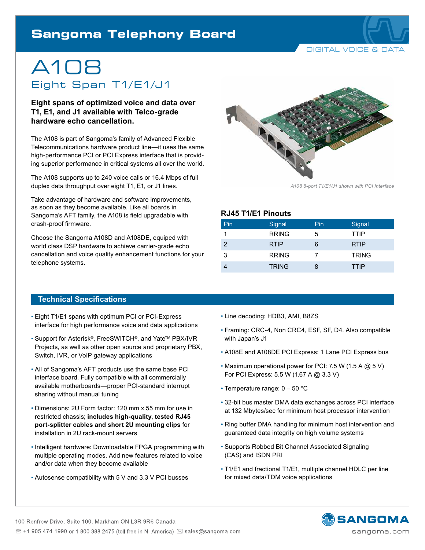# **Sangoma Telephony Board**

DIGITAL VOICE & DATA

# A108 Eight Span T1/E1/J1

**Eight spans of optimized voice and data over T1, E1, and J1 available with Telco-grade hardware echo cancellation.**

The A108 is part of Sangoma's family of Advanced Flexible Telecommunications hardware product line—it uses the same high-performance PCI or PCI Express interface that is providing superior performance in critical systems all over the world.

The A108 supports up to 240 voice calls or 16.4 Mbps of full duplex data throughput over eight T1, E1, or J1 lines.

Take advantage of hardware and software improvements, as soon as they become available. Like all boards in Sangoma's AFT family, the A108 is field upgradable with crash-proof firmware.

Choose the Sangoma A108D and A108DE, equiped with world class DSP hardware to achieve carrier-grade echo cancellation and voice quality enhancement functions for your telephone systems.



*A108 8-port T1/E1/J1 shown with PCI Interface*

#### **RJ45 T1/E1 Pinouts**

| Pin | Signal       | Pin | Signal       |
|-----|--------------|-----|--------------|
|     | <b>RRING</b> | 5   | <b>TTIP</b>  |
| 2   | <b>RTIP</b>  | 6   | <b>RTIP</b>  |
| 3   | <b>RRING</b> |     | <b>TRING</b> |
|     | <b>TRING</b> | 8   | <b>TTIP</b>  |

#### **Technical Specifications**

- Eight T1/E1 spans with optimum PCI or PCI-Express interface for high performance voice and data applications
- Support for Asterisk®, FreeSWITCH®, and Yate™ PBX/IVR Projects, as well as other open source and proprietary PBX, Switch, IVR, or VoIP gateway applications
- All of Sangoma's AFT products use the same base PCI interface board. Fully compatible with all commercially available motherboards—proper PCI-standard interrupt sharing without manual tuning
- Dimensions: 2U Form factor: 120 mm x 55 mm for use in restricted chassis; **includes high-quality, tested RJ45 port-splitter cables and short 2U mounting clips** for installation in 2U rack-mount servers
- Intelligent hardware: Downloadable FPGA programming with multiple operating modes. Add new features related to voice and/or data when they become available
- Autosense compatibility with 5 V and 3.3 V PCI busses
- Line decoding: HDB3, AMI, B8ZS
- Framing: CRC-4, Non CRC4, ESF, SF, D4. Also compatible with Japan's J1
- A108E and A108DE PCI Express: 1 Lane PCI Express bus
- Maximum operational power for PCI: 7.5 W (1.5 A @ 5 V) For PCI Express: 5.5 W (1.67 A @ 3.3 V)
- Temperature range: 0 50 °C
- 32-bit bus master DMA data exchanges across PCI interface at 132 Mbytes/sec for minimum host processor intervention
- Ring buffer DMA handling for minimum host intervention and guaranteed data integrity on high volume systems
- Supports Robbed Bit Channel Associated Signaling (CAS) and ISDN PRI
- T1/E1 and fractional T1/E1, multiple channel HDLC per line for mixed data/TDM voice applications